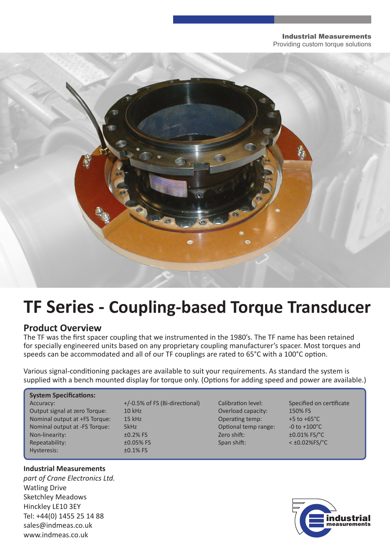#### Industrial Measurements Providing custom torque solutions



# **TF Series - Coupling-based Torque Transducer**

## **Product Overview**

The TF was the first spacer coupling that we instrumented in the 1980's. The TF name has been retained for specially engineered units based on any proprietary coupling manufacturer's spacer. Most torques and speeds can be accommodated and all of our TF couplings are rated to 65°C with a 100°C option.

Various signal-conditioning packages are available to suit your requirements. As standard the system is supplied with a bench mounted display for torque only. (Options for adding speed and power are available.)

#### **System Specifications:** Accuracy:  $+/-0.5\%$  of FS (Bi-directional) Calibration level: Specified on certificate

| Output signal at zero Torque: | <b>10 kHz</b>  | Overload capacity:   | 150% FS                  |
|-------------------------------|----------------|----------------------|--------------------------|
| Nominal output at +FS Torque: | $15$ kHz       | Operating temp:      | +5 to $+65^{\circ}$ C    |
| Nominal output at -FS Torque: | 5kHz           | Optional temp range: |                          |
| Non-linearity:                | $\pm 0.2\%$ FS | Zero shift:          | ±0.01% FS/°C             |
| Repeatability:                | $±0.05%$ FS    | Span shift:          | $<$ ±0.02%FS/ $^{\circ}$ |
| Hysteresis:                   | $±0.1\%$ FS    |                      |                          |
|                               |                |                      |                          |

### **Industrial Measurements**

*part of Crane Electronics Ltd.* Watling Drive Sketchley Meadows Hinckley LE10 3EY Tel: +44(0) 1455 25 14 88 sales@indmeas.co.uk www.indmeas.co.uk

10 kHz Coverload capacity: 150% FS 15 kHz Operating temp:  $\blacksquare$  +5 to +65°C SkHz Optional temp range:  $-0$  to +100°C  $\pm 0.05\%$  FS Span shift:  $\leq \pm 0.02\%$ FS/°C

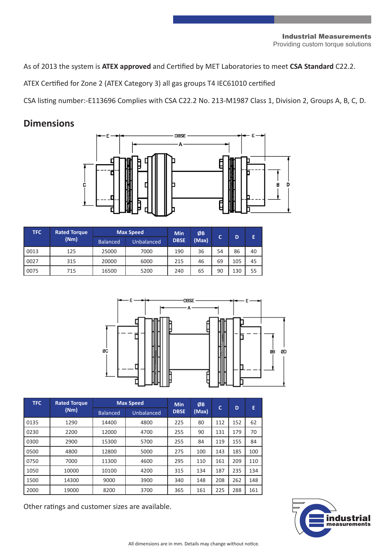#### Industrial Measurements Providing custom torque solutions

As of 2013 the system is **ATEX approved** and Certified by MET Laboratories to meet **CSA Standard** C22.2.

ATEX Certified for Zone 2 (ATEX Category 3) all gas groups T4 IEC61010 certified

CSA listing number:-E113696 Complies with CSA C22.2 No. 213-M1987 Class 1, Division 2, Groups A, B, C, D.

## **Dimensions**



| <b>TFC</b> | <b>Rated Torque</b> | <b>Max Speed</b> |            | <b>Min</b>  | ØВ    | c  | D   | E  |
|------------|---------------------|------------------|------------|-------------|-------|----|-----|----|
|            | (Nm)                | <b>Balanced</b>  | Unbalanced | <b>DBSE</b> | (Max) |    |     |    |
| 0013       | 125                 | 25000            | 7000       | 190         | 36    | 54 | 86  | 40 |
| 0027       | 315                 | 20000            | 6000       | 215         | 46    | 69 | 105 | 45 |
| 0075       | 715                 | 16500            | 5200       | 240         | 65    | 90 | 130 | 55 |



| <b>TFC</b> | <b>Rated Torque</b> | <b>Max Speed</b> |            | <b>Min</b>  | ØB    | Ċ   | D   | E   |
|------------|---------------------|------------------|------------|-------------|-------|-----|-----|-----|
|            | (Nm)                | <b>Balanced</b>  | Unbalanced | <b>DBSE</b> | (Max) |     |     |     |
| 0135       | 1290                | 14400            | 4800       | 225         | 80    | 112 | 152 | 62  |
| 0230       | 2200                | 12000            | 4700       | 255         | 90    | 131 | 179 | 70  |
| 0300       | 2900                | 15300            | 5700       | 255         | 84    | 119 | 155 | 84  |
| 0500       | 4800                | 12800            | 5000       | 275         | 100   | 143 | 185 | 100 |
| 0750       | 7000                | 11300            | 4600       | 295         | 110   | 161 | 209 | 110 |
| 1050       | 10000               | 10100            | 4200       | 315         | 134   | 187 | 235 | 134 |
| 1500       | 14300               | 9000             | 3900       | 340         | 148   | 208 | 262 | 148 |
| 2000       | 19000               | 8200             | 3700       | 365         | 161   | 225 | 288 | 161 |

Other ratings and customer sizes are available.

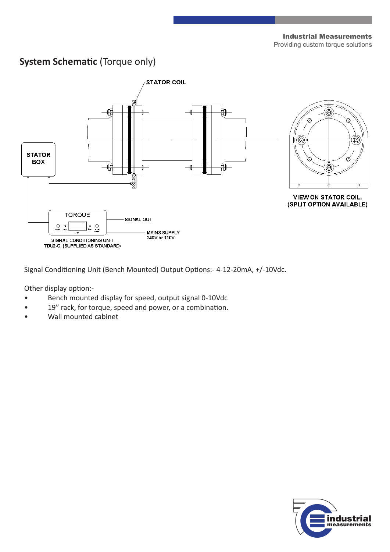## **System Schematic** (Torque only)



Signal Conditioning Unit (Bench Mounted) Output Options:- 4-12-20mA, +/-10Vdc.

Other display option:-

- Bench mounted display for speed, output signal 0-10Vdc
- 19" rack, for torque, speed and power, or a combination.
- Wall mounted cabinet